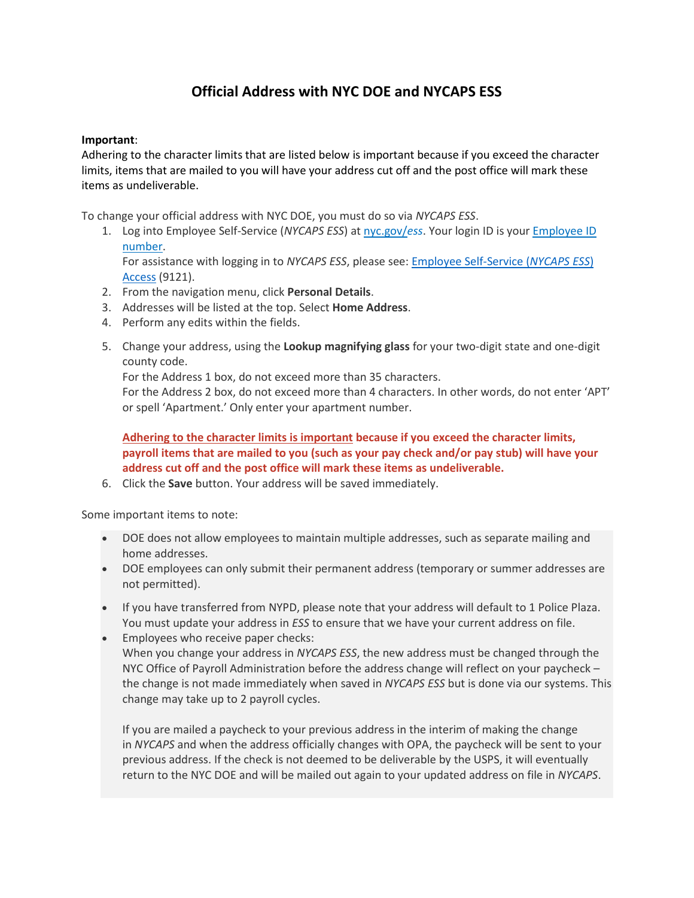## **Official Address with NYC DOE and NYCAPS ESS**

## **Important**:

Adhering to the character limits that are listed below is important because if you exceed the character limits, items that are mailed to you will have your address cut off and the post office will mark these items as undeliverable.

To change your official address with NYC DOE, you must do so via *NYCAPS ESS*.

1. Log into Employee Self-Service (*NYCAPS ESS*) at [nyc.gov/](https://nam11.safelinks.protection.outlook.com/?url=https%3A%2F%2Fa127-ess.nyc.gov%2Fpsp%2Fprdess%2F%3Fcmd%3Dlogin%26languageCd%3DENG%26&data=04%7C01%7CGNott%40uft.org%7Ceaa93408132f4912560808d9368ab65e%7Cda02d0cf35ff4d259837a92821130bb1%7C0%7C0%7C637600791667694851%7CUnknown%7CTWFpbGZsb3d8eyJWIjoiMC4wLjAwMDAiLCJQIjoiV2luMzIiLCJBTiI6Ik1haWwiLCJXVCI6Mn0%3D%7C1000&sdata=1ZgnuHlT4MCT5bGiO0eFas%2F2%2B59YbuQAH%2F2CB7lOCQg%3D&reserved=0)*ess*. Your login ID is your [Employee ID](https://nam11.safelinks.protection.outlook.com/?url=https%3A%2F%2Fdoehrconnect.custhelp.com%2Fapp%2Fanswers%2Fdetail%2Fa_id%2F9243&data=04%7C01%7CGNott%40uft.org%7Ceaa93408132f4912560808d9368ab65e%7Cda02d0cf35ff4d259837a92821130bb1%7C0%7C0%7C637600791667704845%7CUnknown%7CTWFpbGZsb3d8eyJWIjoiMC4wLjAwMDAiLCJQIjoiV2luMzIiLCJBTiI6Ik1haWwiLCJXVCI6Mn0%3D%7C1000&sdata=UOr30b1a86QoUf9q5sC82J0Hv1MK3PWL%2BVwHhvaKZPk%3D&reserved=0)  [number.](https://nam11.safelinks.protection.outlook.com/?url=https%3A%2F%2Fdoehrconnect.custhelp.com%2Fapp%2Fanswers%2Fdetail%2Fa_id%2F9243&data=04%7C01%7CGNott%40uft.org%7Ceaa93408132f4912560808d9368ab65e%7Cda02d0cf35ff4d259837a92821130bb1%7C0%7C0%7C637600791667704845%7CUnknown%7CTWFpbGZsb3d8eyJWIjoiMC4wLjAwMDAiLCJQIjoiV2luMzIiLCJBTiI6Ik1haWwiLCJXVCI6Mn0%3D%7C1000&sdata=UOr30b1a86QoUf9q5sC82J0Hv1MK3PWL%2BVwHhvaKZPk%3D&reserved=0)

For assistance with logging in to *NYCAPS ESS*, please see: [Employee Self-Service \(](https://nam11.safelinks.protection.outlook.com/?url=https%3A%2F%2Fdoehrconnect.custhelp.com%2Fapp%2Fanswers%2Fdetail%2Fa_id%2F9121&data=04%7C01%7CGNott%40uft.org%7Ceaa93408132f4912560808d9368ab65e%7Cda02d0cf35ff4d259837a92821130bb1%7C0%7C0%7C637600791667714840%7CUnknown%7CTWFpbGZsb3d8eyJWIjoiMC4wLjAwMDAiLCJQIjoiV2luMzIiLCJBTiI6Ik1haWwiLCJXVCI6Mn0%3D%7C1000&sdata=lvi%2BQbzhVz7Pb%2BcUXh7kA%2BZgavZLQXucqswlE%2FRwq9M%3D&reserved=0)*NYCAPS ESS*) [Access](https://nam11.safelinks.protection.outlook.com/?url=https%3A%2F%2Fdoehrconnect.custhelp.com%2Fapp%2Fanswers%2Fdetail%2Fa_id%2F9121&data=04%7C01%7CGNott%40uft.org%7Ceaa93408132f4912560808d9368ab65e%7Cda02d0cf35ff4d259837a92821130bb1%7C0%7C0%7C637600791667714840%7CUnknown%7CTWFpbGZsb3d8eyJWIjoiMC4wLjAwMDAiLCJQIjoiV2luMzIiLCJBTiI6Ik1haWwiLCJXVCI6Mn0%3D%7C1000&sdata=lvi%2BQbzhVz7Pb%2BcUXh7kA%2BZgavZLQXucqswlE%2FRwq9M%3D&reserved=0) (9121).

- 2. From the navigation menu, click **Personal Details**.
- 3. Addresses will be listed at the top. Select **Home Address**.
- 4. Perform any edits within the fields.
- 5. Change your address, using the **Lookup magnifying glass** for your two-digit state and one-digit county code.

For the Address 1 box, do not exceed more than 35 characters.

For the Address 2 box, do not exceed more than 4 characters. In other words, do not enter 'APT' or spell 'Apartment.' Only enter your apartment number.

**Adhering to the character limits is important because if you exceed the character limits, payroll items that are mailed to you (such as your pay check and/or pay stub) will have your address cut off and the post office will mark these items as undeliverable.**

6. Click the **Save** button. Your address will be saved immediately.

Some important items to note:

- DOE does not allow employees to maintain multiple addresses, such as separate mailing and home addresses.
- DOE employees can only submit their permanent address (temporary or summer addresses are not permitted).
- If you have transferred from NYPD, please note that your address will default to 1 Police Plaza. You must update your address in *ESS* to ensure that we have your current address on file.
- Employees who receive paper checks: When you change your address in *NYCAPS ESS*, the new address must be changed through the NYC Office of Payroll Administration before the address change will reflect on your paycheck – the change is not made immediately when saved in *NYCAPS ESS* but is done via our systems. This change may take up to 2 payroll cycles.

If you are mailed a paycheck to your previous address in the interim of making the change in *NYCAPS* and when the address officially changes with OPA, the paycheck will be sent to your previous address. If the check is not deemed to be deliverable by the USPS, it will eventually return to the NYC DOE and will be mailed out again to your updated address on file in *NYCAPS*.